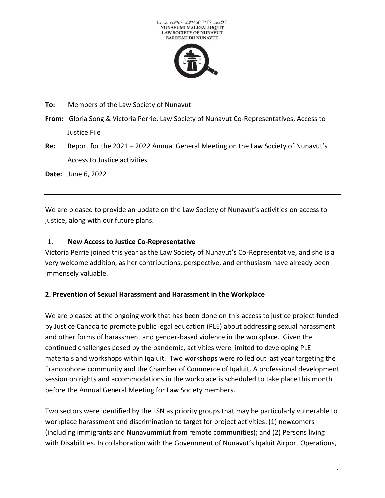

**To:** Members of the Law Society of Nunavut

**From:** Gloria Song & Victoria Perrie, Law Society of Nunavut Co-Representatives, Access to Justice File

**Re:** Report for the 2021 – 2022 Annual General Meeting on the Law Society of Nunavut's Access to Justice activities

**Date:** June 6, 2022

We are pleased to provide an update on the Law Society of Nunavut's activities on access to justice, along with our future plans.

### 1. **New Access to Justice Co-Representative**

Victoria Perrie joined this year as the Law Society of Nunavut's Co-Representative, and she is a very welcome addition, as her contributions, perspective, and enthusiasm have already been immensely valuable.

#### **2. Prevention of Sexual Harassment and Harassment in the Workplace**

We are pleased at the ongoing work that has been done on this access to justice project funded by Justice Canada to promote public legal education (PLE) about addressing sexual harassment and other forms of harassment and gender-based violence in the workplace. Given the continued challenges posed by the pandemic, activities were limited to developing PLE materials and workshops within Iqaluit. Two workshops were rolled out last year targeting the Francophone community and the Chamber of Commerce of Iqaluit. A professional development session on rights and accommodations in the workplace is scheduled to take place this month before the Annual General Meeting for Law Society members.

Two sectors were identified by the LSN as priority groups that may be particularly vulnerable to workplace harassment and discrimination to target for project activities: (1) newcomers (including immigrants and Nunavummiut from remote communities); and (2) Persons living with Disabilities*.* In collaboration with the Government of Nunavut's Iqaluit Airport Operations,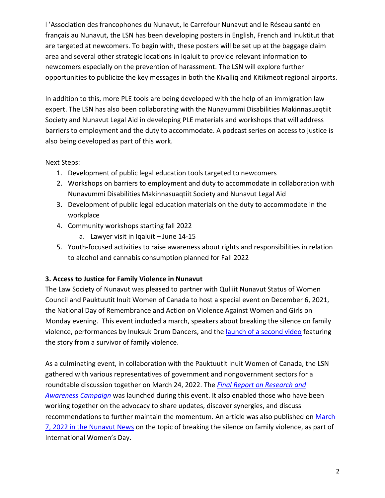l 'Association des francophones du Nunavut, le Carrefour Nunavut and le Réseau santé en français au Nunavut, the LSN has been developing posters in English, French and Inuktitut that are targeted at newcomers. To begin with, these posters will be set up at the baggage claim area and several other strategic locations in Iqaluit to provide relevant information to newcomers especially on the prevention of harassment. The LSN will explore further opportunities to publicize the key messages in both the Kivalliq and Kitikmeot regional airports.

In addition to this, more PLE tools are being developed with the help of an immigration law expert. The LSN has also been collaborating with the Nunavummi Disabilities Makinnasuaqtiit Society and Nunavut Legal Aid in developing PLE materials and workshops that will address barriers to employment and the duty to accommodate. A podcast series on access to justice is also being developed as part of this work.

# Next Steps:

- 1. Development of public legal education tools targeted to newcomers
- 2. Workshops on barriers to employment and duty to accommodate in collaboration with Nunavummi Disabilities Makinnasuaqtiit Society and Nunavut Legal Aid
- 3. Development of public legal education materials on the duty to accommodate in the workplace
- 4. Community workshops starting fall 2022
	- a. Lawyer visit in Iqaluit June 14-15
- 5. Youth-focused activities to raise awareness about rights and responsibilities in relation to alcohol and cannabis consumption planned for Fall 2022

# **3. Access to Justice for Family Violence in Nunavut**

The Law Society of Nunavut was pleased to partner with Qulliit Nunavut Status of Women Council and Pauktuutit Inuit Women of Canada to host a special event on December 6, 2021, the National Day of Remembrance and Action on Violence Against Women and Girls on Monday evening. This event included a march, speakers about breaking the silence on family violence, performances by Inuksuk Drum Dancers, and the [launch of a second video](https://www.lawsociety.nu.ca/en/family-violence-prevention-resources) featuring the story from a survivor of family violence.

As a culminating event, in collaboration with the Pauktuutit Inuit Women of Canada, the LSN gathered with various representatives of government and nongovernment sectors for a roundtable discussion together on March 24, 2022. The *[Final Report on Research and](https://www.lawsociety.nu.ca/sites/default/files/News/Public%20Notices/LSN_FAIA%20Final%20Public%20Report_Dec%2015%202021.pdf)  [Awareness Campaign](https://www.lawsociety.nu.ca/sites/default/files/News/Public%20Notices/LSN_FAIA%20Final%20Public%20Report_Dec%2015%202021.pdf)* was launched during this event. It also enabled those who have been working together on the advocacy to share updates, discover synergies, and discuss recommendations to further maintain the momentum. An article was also published on [March](https://www.nunavutnews.com/marketplace/breaking-the-silence/)  [7, 2022 in the Nunavut News](https://www.nunavutnews.com/marketplace/breaking-the-silence/) on the topic of breaking the silence on family violence, as part of International Women's Day.